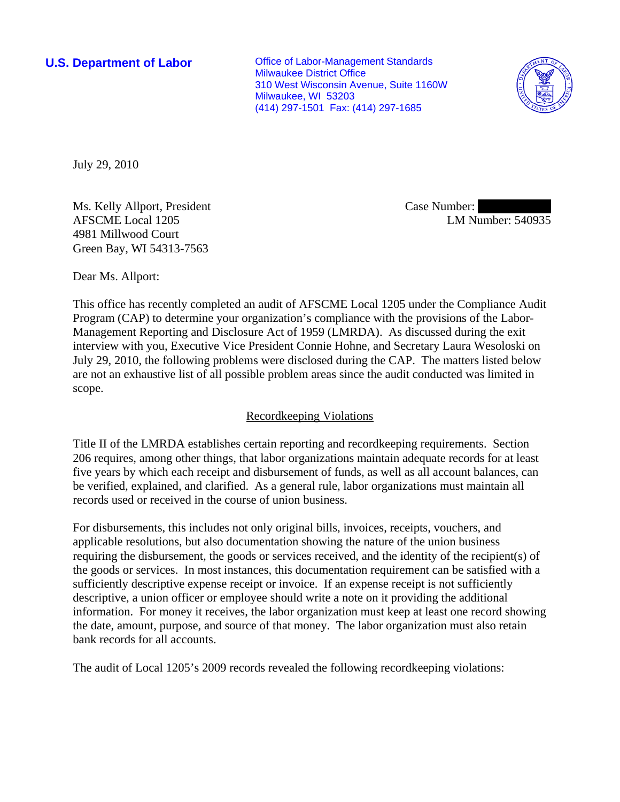**U.S. Department of Labor Conservative Conservative Conservative Conservative Conservative Conservative Conservative Conservative Conservative Conservative Conservative Conservative Conservative Conservative Conservative** Milwaukee District Office 310 West Wisconsin Avenue, Suite 1160W Milwaukee, WI 53203 (414) 297-1501 Fax: (414) 297-1685



July 29, 2010

Ms. Kelly Allport, President AFSCME Local 1205 4981 Millwood Court Green Bay, WI 54313-7563

Case Number: LM Number: 540935

Dear Ms. Allport:

This office has recently completed an audit of AFSCME Local 1205 under the Compliance Audit Program (CAP) to determine your organization's compliance with the provisions of the Labor-Management Reporting and Disclosure Act of 1959 (LMRDA). As discussed during the exit interview with you, Executive Vice President Connie Hohne, and Secretary Laura Wesoloski on July 29, 2010, the following problems were disclosed during the CAP. The matters listed below are not an exhaustive list of all possible problem areas since the audit conducted was limited in scope.

# Recordkeeping Violations

Title II of the LMRDA establishes certain reporting and recordkeeping requirements. Section 206 requires, among other things, that labor organizations maintain adequate records for at least five years by which each receipt and disbursement of funds, as well as all account balances, can be verified, explained, and clarified. As a general rule, labor organizations must maintain all records used or received in the course of union business.

For disbursements, this includes not only original bills, invoices, receipts, vouchers, and applicable resolutions, but also documentation showing the nature of the union business requiring the disbursement, the goods or services received, and the identity of the recipient(s) of the goods or services. In most instances, this documentation requirement can be satisfied with a sufficiently descriptive expense receipt or invoice. If an expense receipt is not sufficiently descriptive, a union officer or employee should write a note on it providing the additional information. For money it receives, the labor organization must keep at least one record showing the date, amount, purpose, and source of that money. The labor organization must also retain bank records for all accounts.

The audit of Local 1205's 2009 records revealed the following recordkeeping violations: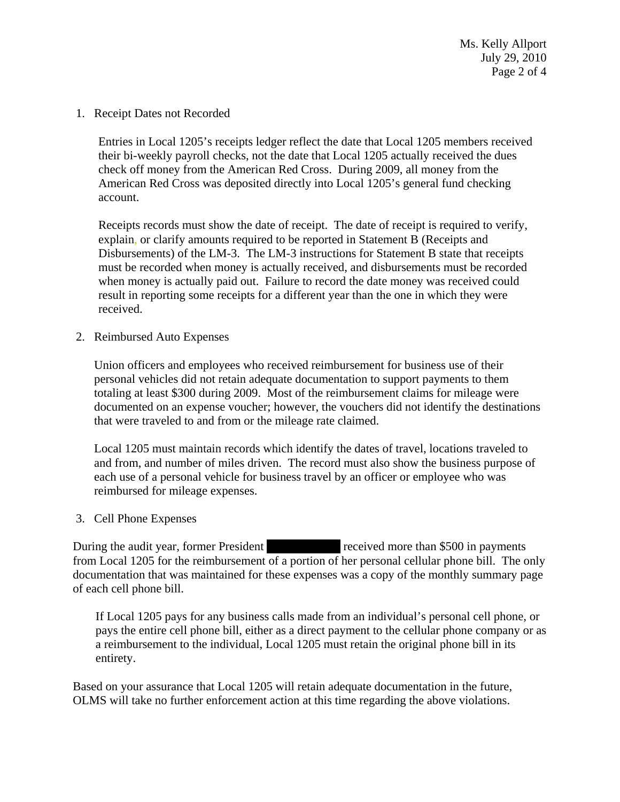Ms. Kelly Allport July 29, 2010 Page 2 of 4

1. Receipt Dates not Recorded

Entries in Local 1205's receipts ledger reflect the date that Local 1205 members received their bi-weekly payroll checks, not the date that Local 1205 actually received the dues check off money from the American Red Cross. During 2009, all money from the American Red Cross was deposited directly into Local 1205's general fund checking account.

Receipts records must show the date of receipt. The date of receipt is required to verify, explain, or clarify amounts required to be reported in Statement B (Receipts and Disbursements) of the LM-3. The LM-3 instructions for Statement B state that receipts must be recorded when money is actually received, and disbursements must be recorded when money is actually paid out. Failure to record the date money was received could result in reporting some receipts for a different year than the one in which they were received.

2. Reimbursed Auto Expenses

Union officers and employees who received reimbursement for business use of their personal vehicles did not retain adequate documentation to support payments to them totaling at least \$300 during 2009. Most of the reimbursement claims for mileage were documented on an expense voucher; however, the vouchers did not identify the destinations that were traveled to and from or the mileage rate claimed.

Local 1205 must maintain records which identify the dates of travel, locations traveled to and from, and number of miles driven. The record must also show the business purpose of each use of a personal vehicle for business travel by an officer or employee who was reimbursed for mileage expenses.

### 3. Cell Phone Expenses

During the audit year, former President ||||||||||||||| |||||||||||||| received more than \$500 in payments from Local 1205 for the reimbursement of a portion of her personal cellular phone bill. The only documentation that was maintained for these expenses was a copy of the monthly summary page of each cell phone bill.

If Local 1205 pays for any business calls made from an individual's personal cell phone, or pays the entire cell phone bill, either as a direct payment to the cellular phone company or as a reimbursement to the individual, Local 1205 must retain the original phone bill in its entirety.

Based on your assurance that Local 1205 will retain adequate documentation in the future, OLMS will take no further enforcement action at this time regarding the above violations.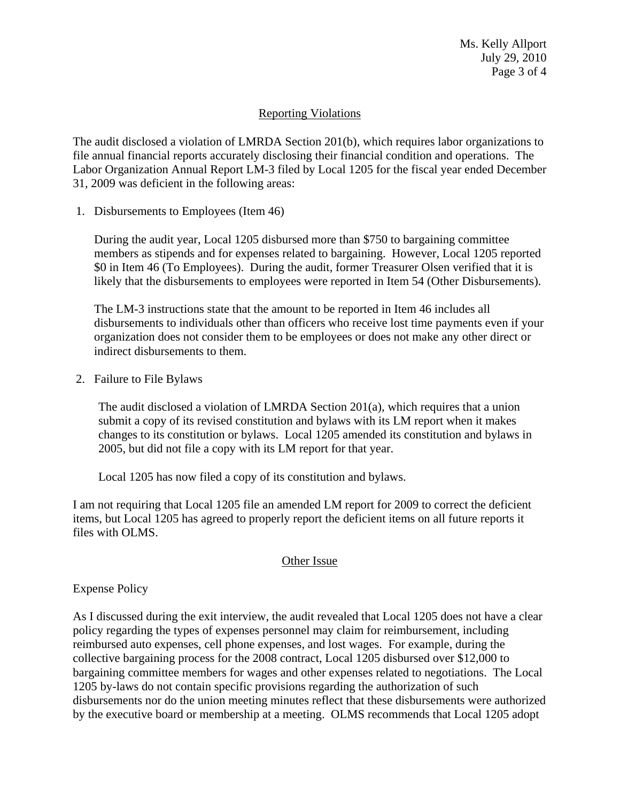Ms. Kelly Allport July 29, 2010 Page 3 of 4

## Reporting Violations

The audit disclosed a violation of LMRDA Section 201(b), which requires labor organizations to file annual financial reports accurately disclosing their financial condition and operations. The Labor Organization Annual Report LM-3 filed by Local 1205 for the fiscal year ended December 31, 2009 was deficient in the following areas:

1. Disbursements to Employees (Item 46)

During the audit year, Local 1205 disbursed more than \$750 to bargaining committee members as stipends and for expenses related to bargaining. However, Local 1205 reported \$0 in Item 46 (To Employees). During the audit, former Treasurer Olsen verified that it is likely that the disbursements to employees were reported in Item 54 (Other Disbursements).

The LM-3 instructions state that the amount to be reported in Item 46 includes all disbursements to individuals other than officers who receive lost time payments even if your organization does not consider them to be employees or does not make any other direct or indirect disbursements to them.

2. Failure to File Bylaws

The audit disclosed a violation of LMRDA Section 201(a), which requires that a union submit a copy of its revised constitution and bylaws with its LM report when it makes changes to its constitution or bylaws. Local 1205 amended its constitution and bylaws in 2005, but did not file a copy with its LM report for that year.

Local 1205 has now filed a copy of its constitution and bylaws.

I am not requiring that Local 1205 file an amended LM report for 2009 to correct the deficient items, but Local 1205 has agreed to properly report the deficient items on all future reports it files with OLMS.

## Other Issue

Expense Policy

As I discussed during the exit interview, the audit revealed that Local 1205 does not have a clear policy regarding the types of expenses personnel may claim for reimbursement, including reimbursed auto expenses, cell phone expenses, and lost wages. For example, during the collective bargaining process for the 2008 contract, Local 1205 disbursed over \$12,000 to bargaining committee members for wages and other expenses related to negotiations. The Local 1205 by-laws do not contain specific provisions regarding the authorization of such disbursements nor do the union meeting minutes reflect that these disbursements were authorized by the executive board or membership at a meeting. OLMS recommends that Local 1205 adopt